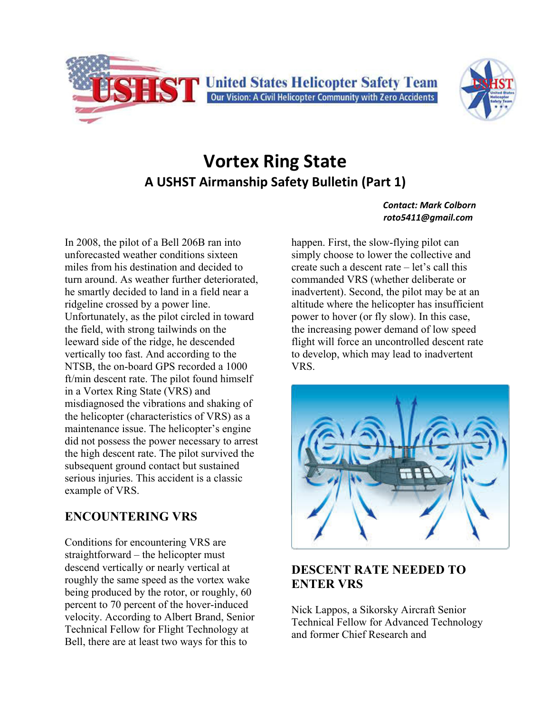



# **Vortex Ring State A USHST Airmanship Safety Bulletin (Part 1)**

In 2008, the pilot of a Bell 206B ran into unforecasted weather conditions sixteen miles from his destination and decided to turn around. As weather further deteriorated, he smartly decided to land in a field near a ridgeline crossed by a power line. Unfortunately, as the pilot circled in toward the field, with strong tailwinds on the leeward side of the ridge, he descended vertically too fast. And according to the NTSB, the on-board GPS recorded a 1000 ft/min descent rate. The pilot found himself in a Vortex Ring State (VRS) and misdiagnosed the vibrations and shaking of the helicopter (characteristics of VRS) as a maintenance issue. The helicopter's engine did not possess the power necessary to arrest the high descent rate. The pilot survived the subsequent ground contact but sustained serious injuries. This accident is a classic example of VRS.

## **ENCOUNTERING VRS**

Conditions for encountering VRS are straightforward – the helicopter must descend vertically or nearly vertical at roughly the same speed as the vortex wake being produced by the rotor, or roughly, 60 percent to 70 percent of the hover-induced velocity. According to Albert Brand, Senior Technical Fellow for Flight Technology at Bell, there are at least two ways for this to

#### *Contact: Mark Colborn roto5411@gmail.com*

happen. First, the slow-flying pilot can simply choose to lower the collective and create such a descent rate – let's call this commanded VRS (whether deliberate or inadvertent). Second, the pilot may be at an altitude where the helicopter has insufficient power to hover (or fly slow). In this case, the increasing power demand of low speed flight will force an uncontrolled descent rate to develop, which may lead to inadvertent VRS.



## **DESCENT RATE NEEDED TO ENTER VRS**

Nick Lappos, a Sikorsky Aircraft Senior Technical Fellow for Advanced Technology and former Chief Research and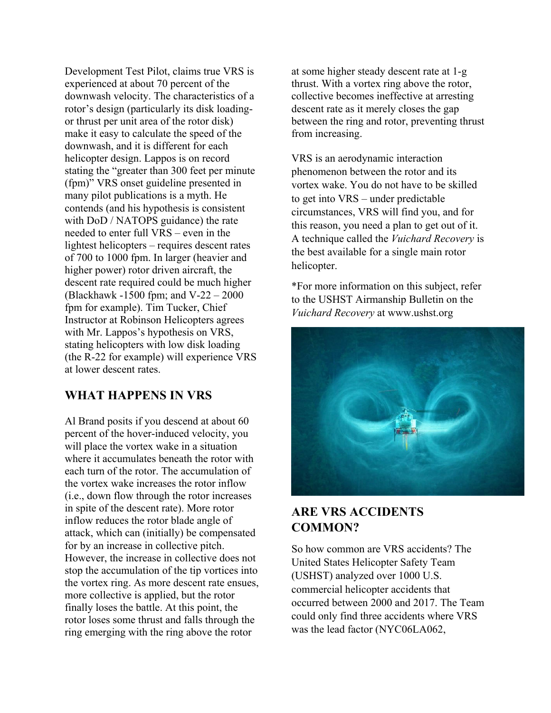Development Test Pilot, claims true VRS is experienced at about 70 percent of the downwash velocity. The characteristics of a rotor's design (particularly its disk loadingor thrust per unit area of the rotor disk) make it easy to calculate the speed of the downwash, and it is different for each helicopter design. Lappos is on record stating the "greater than 300 feet per minute (fpm)" VRS onset guideline presented in many pilot publications is a myth. He contends (and his hypothesis is consistent with DoD / NATOPS guidance) the rate needed to enter full VRS – even in the lightest helicopters – requires descent rates of 700 to 1000 fpm. In larger (heavier and higher power) rotor driven aircraft, the descent rate required could be much higher (Blackhawk -1500 fpm; and V-22 – 2000 fpm for example). Tim Tucker, Chief Instructor at Robinson Helicopters agrees with Mr. Lappos's hypothesis on VRS, stating helicopters with low disk loading (the R-22 for example) will experience VRS at lower descent rates.

#### **WHAT HAPPENS IN VRS**

Al Brand posits if you descend at about 60 percent of the hover-induced velocity, you will place the vortex wake in a situation where it accumulates beneath the rotor with each turn of the rotor. The accumulation of the vortex wake increases the rotor inflow (i.e., down flow through the rotor increases in spite of the descent rate). More rotor inflow reduces the rotor blade angle of attack, which can (initially) be compensated for by an increase in collective pitch. However, the increase in collective does not stop the accumulation of the tip vortices into the vortex ring. As more descent rate ensues, more collective is applied, but the rotor finally loses the battle. At this point, the rotor loses some thrust and falls through the ring emerging with the ring above the rotor

at some higher steady descent rate at 1-g thrust. With a vortex ring above the rotor, collective becomes ineffective at arresting descent rate as it merely closes the gap between the ring and rotor, preventing thrust from increasing.

VRS is an aerodynamic interaction phenomenon between the rotor and its vortex wake. You do not have to be skilled to get into VRS – under predictable circumstances, VRS will find you, and for this reason, you need a plan to get out of it. A technique called the *Vuichard Recovery* is the best available for a single main rotor helicopter.

\*For more information on this subject, refer to the USHST Airmanship Bulletin on the *Vuichard Recovery* at www.ushst.org



### **ARE VRS ACCIDENTS COMMON?**

So how common are VRS accidents? The United States Helicopter Safety Team (USHST) analyzed over 1000 U.S. commercial helicopter accidents that occurred between 2000 and 2017. The Team could only find three accidents where VRS was the lead factor (NYC06LA062,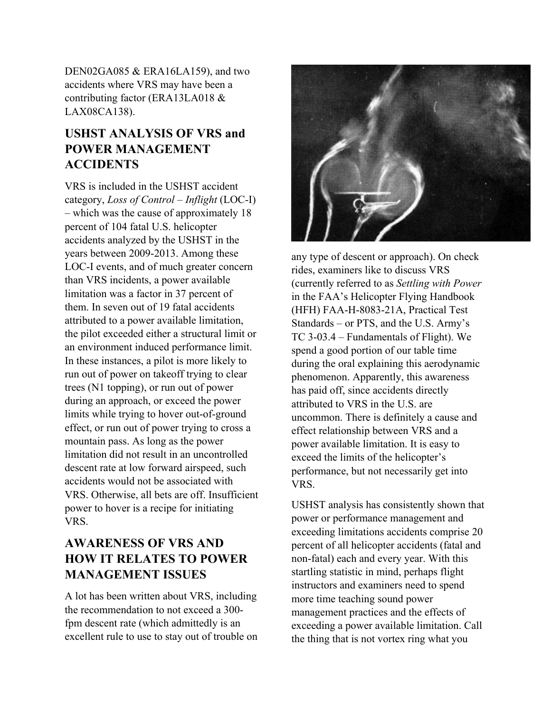DEN02GA085 & ERA16LA159), and two accidents where VRS may have been a contributing factor (ERA13LA018 & LAX08CA138).

## **USHST ANALYSIS OF VRS and POWER MANAGEMENT ACCIDENTS**

VRS is included in the USHST accident category, *Loss of Control – Inflight* (LOC-I) – which was the cause of approximately 18 percent of 104 fatal U.S. helicopter accidents analyzed by the USHST in the years between 2009-2013. Among these LOC-I events, and of much greater concern than VRS incidents, a power available limitation was a factor in 37 percent of them. In seven out of 19 fatal accidents attributed to a power available limitation, the pilot exceeded either a structural limit or an environment induced performance limit. In these instances, a pilot is more likely to run out of power on takeoff trying to clear trees (N1 topping), or run out of power during an approach, or exceed the power limits while trying to hover out-of-ground effect, or run out of power trying to cross a mountain pass. As long as the power limitation did not result in an uncontrolled descent rate at low forward airspeed, such accidents would not be associated with VRS. Otherwise, all bets are off. Insufficient power to hover is a recipe for initiating VRS.

## **AWARENESS OF VRS AND HOW IT RELATES TO POWER MANAGEMENT ISSUES**

A lot has been written about VRS, including the recommendation to not exceed a 300 fpm descent rate (which admittedly is an excellent rule to use to stay out of trouble on



any type of descent or approach). On check rides, examiners like to discuss VRS (currently referred to as *Settling with Power*  in the FAA's Helicopter Flying Handbook (HFH) FAA-H-8083-21A, Practical Test Standards – or PTS, and the U.S. Army's TC 3-03.4 – Fundamentals of Flight). We spend a good portion of our table time during the oral explaining this aerodynamic phenomenon. Apparently, this awareness has paid off, since accidents directly attributed to VRS in the U.S. are uncommon. There is definitely a cause and effect relationship between VRS and a power available limitation. It is easy to exceed the limits of the helicopter's performance, but not necessarily get into VRS.

USHST analysis has consistently shown that power or performance management and exceeding limitations accidents comprise 20 percent of all helicopter accidents (fatal and non-fatal) each and every year. With this startling statistic in mind, perhaps flight instructors and examiners need to spend more time teaching sound power management practices and the effects of exceeding a power available limitation. Call the thing that is not vortex ring what you